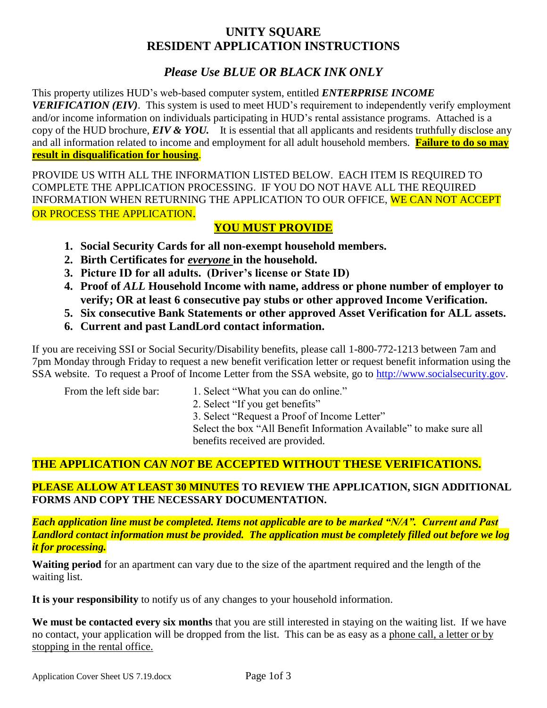# **UNITY SQUARE RESIDENT APPLICATION INSTRUCTIONS**

# *Please Use BLUE OR BLACK INK ONLY*

This property utilizes HUD's web-based computer system, entitled *ENTERPRISE INCOME VERIFICATION (EIV)*. This system is used to meet HUD's requirement to independently verify employment and/or income information on individuals participating in HUD's rental assistance programs. Attached is a copy of the HUD brochure, *EIV & YOU.* It is essential that all applicants and residents truthfully disclose any and all information related to income and employment for all adult household members. **Failure to do so may result in disqualification for housing**.

PROVIDE US WITH ALL THE INFORMATION LISTED BELOW. EACH ITEM IS REQUIRED TO COMPLETE THE APPLICATION PROCESSING. IF YOU DO NOT HAVE ALL THE REQUIRED INFORMATION WHEN RETURNING THE APPLICATION TO OUR OFFICE, WE CAN NOT ACCEPT OR PROCESS THE APPLICATION.

## **YOU MUST PROVIDE**

- **1. Social Security Cards for all non-exempt household members.**
- **2. Birth Certificates for** *everyone* **in the household.**
- **3. Picture ID for all adults. (Driver's license or State ID)**
- **4. Proof of** *ALL* **Household Income with name, address or phone number of employer to verify; OR at least 6 consecutive pay stubs or other approved Income Verification.**
- **5. Six consecutive Bank Statements or other approved Asset Verification for ALL assets.**
- **6. Current and past LandLord contact information.**

If you are receiving SSI or Social Security/Disability benefits, please call 1-800-772-1213 between 7am and 7pm Monday through Friday to request a new benefit verification letter or request benefit information using the SSA website. To request a Proof of Income Letter from the SSA website, go to [http://www.socialsecurity.gov.](http://www.socialsecurity.gov/)

- From the left side bar: 1. Select "What you can do online."
	- 2. Select "If you get benefits"

3. Select "Request a Proof of Income Letter"

Select the box "All Benefit Information Available" to make sure all benefits received are provided.

# **THE APPLICATION** *CAN NOT* **BE ACCEPTED WITHOUT THESE VERIFICATIONS.**

## **PLEASE ALLOW AT LEAST 30 MINUTES TO REVIEW THE APPLICATION, SIGN ADDITIONAL FORMS AND COPY THE NECESSARY DOCUMENTATION.**

*Each application line must be completed. Items not applicable are to be marked "N/A". Current and Past Landlord contact information must be provided. The application must be completely filled out before we log it for processing.*

**Waiting period** for an apartment can vary due to the size of the apartment required and the length of the waiting list.

**It is your responsibility** to notify us of any changes to your household information.

We must be contacted every six months that you are still interested in staying on the waiting list. If we have no contact, your application will be dropped from the list. This can be as easy as a phone call, a letter or by stopping in the rental office.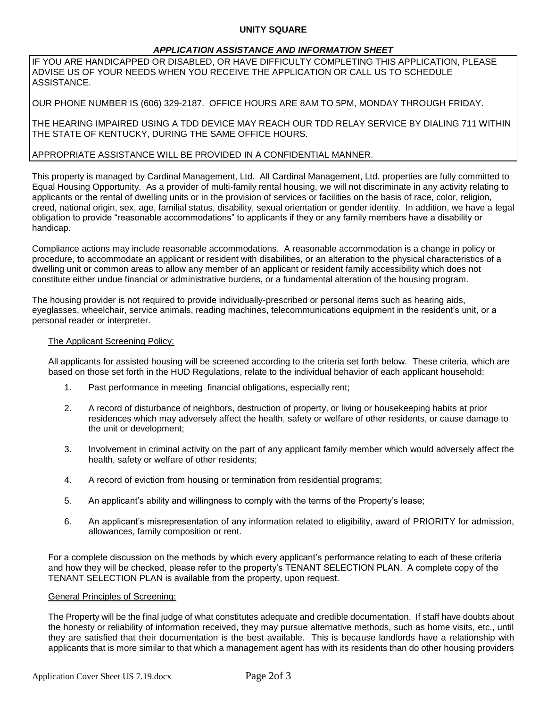#### **UNITY SQUARE**

#### *APPLICATION ASSISTANCE AND INFORMATION SHEET*

IF YOU ARE HANDICAPPED OR DISABLED, OR HAVE DIFFICULTY COMPLETING THIS APPLICATION, PLEASE ADVISE US OF YOUR NEEDS WHEN YOU RECEIVE THE APPLICATION OR CALL US TO SCHEDULE ASSISTANCE.

OUR PHONE NUMBER IS (606) 329-2187. OFFICE HOURS ARE 8AM TO 5PM, MONDAY THROUGH FRIDAY.

THE HEARING IMPAIRED USING A TDD DEVICE MAY REACH OUR TDD RELAY SERVICE BY DIALING 711 WITHIN THE STATE OF KENTUCKY, DURING THE SAME OFFICE HOURS.

#### APPROPRIATE ASSISTANCE WILL BE PROVIDED IN A CONFIDENTIAL MANNER.

This property is managed by Cardinal Management, Ltd. All Cardinal Management, Ltd. properties are fully committed to Equal Housing Opportunity. As a provider of multi-family rental housing, we will not discriminate in any activity relating to applicants or the rental of dwelling units or in the provision of services or facilities on the basis of race, color, religion, creed, national origin, sex, age, familial status, disability, sexual orientation or gender identity. In addition, we have a legal obligation to provide "reasonable accommodations" to applicants if they or any family members have a disability or handicap.

Compliance actions may include reasonable accommodations. A reasonable accommodation is a change in policy or procedure, to accommodate an applicant or resident with disabilities, or an alteration to the physical characteristics of a dwelling unit or common areas to allow any member of an applicant or resident family accessibility which does not constitute either undue financial or administrative burdens, or a fundamental alteration of the housing program.

The housing provider is not required to provide individually-prescribed or personal items such as hearing aids, eyeglasses, wheelchair, service animals, reading machines, telecommunications equipment in the resident's unit, or a personal reader or interpreter.

#### The Applicant Screening Policy:

All applicants for assisted housing will be screened according to the criteria set forth below. These criteria, which are based on those set forth in the HUD Regulations, relate to the individual behavior of each applicant household:

- 1. Past performance in meeting financial obligations, especially rent;
- 2. A record of disturbance of neighbors, destruction of property, or living or housekeeping habits at prior residences which may adversely affect the health, safety or welfare of other residents, or cause damage to the unit or development;
- 3. Involvement in criminal activity on the part of any applicant family member which would adversely affect the health, safety or welfare of other residents;
- 4. A record of eviction from housing or termination from residential programs;
- 5. An applicant's ability and willingness to comply with the terms of the Property's lease;
- 6. An applicant's misrepresentation of any information related to eligibility, award of PRIORITY for admission, allowances, family composition or rent.

For a complete discussion on the methods by which every applicant's performance relating to each of these criteria and how they will be checked, please refer to the property's TENANT SELECTION PLAN. A complete copy of the TENANT SELECTION PLAN is available from the property, upon request.

#### General Principles of Screening:

The Property will be the final judge of what constitutes adequate and credible documentation. If staff have doubts about the honesty or reliability of information received, they may pursue alternative methods, such as home visits, etc., until they are satisfied that their documentation is the best available. This is because landlords have a relationship with applicants that is more similar to that which a management agent has with its residents than do other housing providers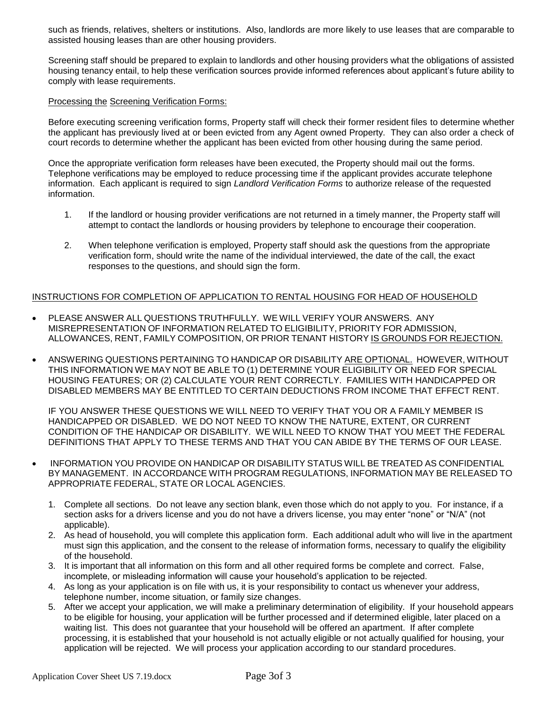such as friends, relatives, shelters or institutions. Also, landlords are more likely to use leases that are comparable to assisted housing leases than are other housing providers.

Screening staff should be prepared to explain to landlords and other housing providers what the obligations of assisted housing tenancy entail, to help these verification sources provide informed references about applicant's future ability to comply with lease requirements.

#### Processing the Screening Verification Forms:

Before executing screening verification forms, Property staff will check their former resident files to determine whether the applicant has previously lived at or been evicted from any Agent owned Property. They can also order a check of court records to determine whether the applicant has been evicted from other housing during the same period.

Once the appropriate verification form releases have been executed, the Property should mail out the forms. Telephone verifications may be employed to reduce processing time if the applicant provides accurate telephone information. Each applicant is required to sign *Landlord Verification Forms* to authorize release of the requested information.

- 1. If the landlord or housing provider verifications are not returned in a timely manner, the Property staff will attempt to contact the landlords or housing providers by telephone to encourage their cooperation.
- 2. When telephone verification is employed, Property staff should ask the questions from the appropriate verification form, should write the name of the individual interviewed, the date of the call, the exact responses to the questions, and should sign the form.

#### INSTRUCTIONS FOR COMPLETION OF APPLICATION TO RENTAL HOUSING FOR HEAD OF HOUSEHOLD

- PLEASE ANSWER ALL QUESTIONS TRUTHFULLY. WE WILL VERIFY YOUR ANSWERS. ANY MISREPRESENTATION OF INFORMATION RELATED TO ELIGIBILITY, PRIORITY FOR ADMISSION, ALLOWANCES, RENT, FAMILY COMPOSITION, OR PRIOR TENANT HISTORY IS GROUNDS FOR REJECTION.
- ANSWERING QUESTIONS PERTAINING TO HANDICAP OR DISABILITY ARE OPTIONAL. HOWEVER, WITHOUT THIS INFORMATION WE MAY NOT BE ABLE TO (1) DETERMINE YOUR ELIGIBILITY OR NEED FOR SPECIAL HOUSING FEATURES; OR (2) CALCULATE YOUR RENT CORRECTLY. FAMILIES WITH HANDICAPPED OR DISABLED MEMBERS MAY BE ENTITLED TO CERTAIN DEDUCTIONS FROM INCOME THAT EFFECT RENT.

IF YOU ANSWER THESE QUESTIONS WE WILL NEED TO VERIFY THAT YOU OR A FAMILY MEMBER IS HANDICAPPED OR DISABLED. WE DO NOT NEED TO KNOW THE NATURE, EXTENT, OR CURRENT CONDITION OF THE HANDICAP OR DISABILITY. WE WILL NEED TO KNOW THAT YOU MEET THE FEDERAL DEFINITIONS THAT APPLY TO THESE TERMS AND THAT YOU CAN ABIDE BY THE TERMS OF OUR LEASE.

- INFORMATION YOU PROVIDE ON HANDICAP OR DISABILITY STATUS WILL BE TREATED AS CONFIDENTIAL BY MANAGEMENT. IN ACCORDANCE WITH PROGRAM REGULATIONS, INFORMATION MAY BE RELEASED TO APPROPRIATE FEDERAL, STATE OR LOCAL AGENCIES.
	- 1. Complete all sections. Do not leave any section blank, even those which do not apply to you. For instance, if a section asks for a drivers license and you do not have a drivers license, you may enter "none" or "N/A" (not applicable).
	- 2. As head of household, you will complete this application form. Each additional adult who will live in the apartment must sign this application, and the consent to the release of information forms, necessary to qualify the eligibility of the household.
	- 3. It is important that all information on this form and all other required forms be complete and correct. False, incomplete, or misleading information will cause your household's application to be rejected.
	- 4. As long as your application is on file with us, it is your responsibility to contact us whenever your address, telephone number, income situation, or family size changes.
	- 5. After we accept your application, we will make a preliminary determination of eligibility. If your household appears to be eligible for housing, your application will be further processed and if determined eligible, later placed on a waiting list. This does not guarantee that your household will be offered an apartment. If after complete processing, it is established that your household is not actually eligible or not actually qualified for housing, your application will be rejected. We will process your application according to our standard procedures.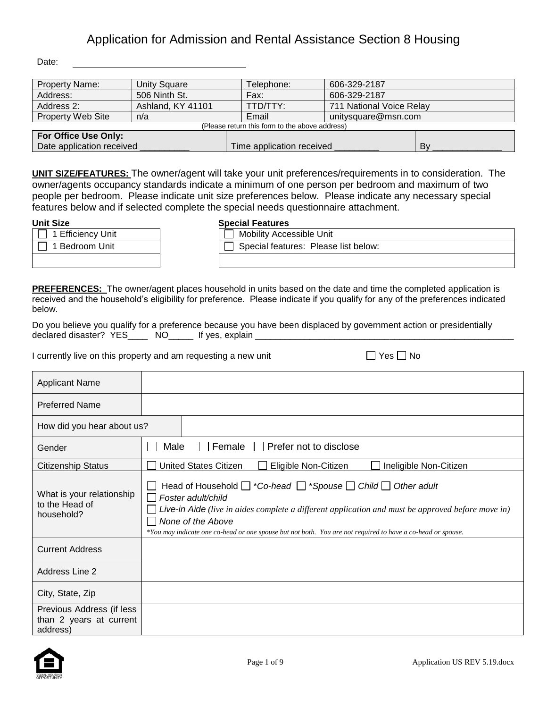Date:

| <b>Property Name:</b>     | Unity Square                                   | Telephone:                | 606-329-2187             |    |  |  |
|---------------------------|------------------------------------------------|---------------------------|--------------------------|----|--|--|
| Address:                  | 506 Ninth St.                                  | Fax:                      | 606-329-2187             |    |  |  |
| Address 2:                | Ashland, KY 41101                              | TTD/TTY:                  | 711 National Voice Relay |    |  |  |
| <b>Property Web Site</b>  | n/a                                            | Email                     | unitysquare@msn.com      |    |  |  |
|                           | (Please return this form to the above address) |                           |                          |    |  |  |
| For Office Use Only:      |                                                |                           |                          |    |  |  |
| Date application received |                                                | Time application received |                          | B٧ |  |  |

**UNIT SIZE/FEATURES:** The owner/agent will take your unit preferences/requirements in to consideration. The owner/agents occupancy standards indicate a minimum of one person per bedroom and maximum of two people per bedroom. Please indicate unit size preferences below. Please indicate any necessary special features below and if selected complete the special needs questionnaire attachment.

| --------                 | --------------                 |
|--------------------------|--------------------------------|
| $\Box$ 1 Efficiency Unit | Mobility Accessible Unit       |
| 1 Bedroom Unit           | $\Box$ Special features: Pleas |
|                          |                                |

### **Unit Size Special Features**

| . JIZE            | Special Features                     |
|-------------------|--------------------------------------|
| 1 Efficiency Unit | Mobility Accessible Unit             |
| 1 Bedroom Unit    | Special features: Please list below: |
|                   |                                      |

**PREFERENCES:** The owner/agent places household in units based on the date and time the completed application is received and the household's eligibility for preference. Please indicate if you qualify for any of the preferences indicated below.

Do you believe you qualify for a preference because you have been displaced by government action or presidentially declared disaster? YES\_\_\_\_\_ NO\_\_\_\_\_ If yes, explain \_\_\_\_\_\_\_

I currently live on this property and am requesting a new unit  $\Box$  Yes  $\Box$  No

| Applicant Name                                                   |                                                                                                                                                                                                                                                                                                                                                 |
|------------------------------------------------------------------|-------------------------------------------------------------------------------------------------------------------------------------------------------------------------------------------------------------------------------------------------------------------------------------------------------------------------------------------------|
| <b>Preferred Name</b>                                            |                                                                                                                                                                                                                                                                                                                                                 |
| How did you hear about us?                                       |                                                                                                                                                                                                                                                                                                                                                 |
| Gender                                                           | Female $\Box$<br>Prefer not to disclose<br>Male                                                                                                                                                                                                                                                                                                 |
| <b>Citizenship Status</b>                                        | <b>United States Citizen</b><br>Eligible Non-Citizen<br>Ineligible Non-Citizen                                                                                                                                                                                                                                                                  |
| What is your relationship<br>to the Head of<br>household?        | Head of Household $\Box$ *Co-head $\Box$ *Spouse $\Box$ Child $\Box$ Other adult<br>Foster adult/child<br>Live-in Aide (live in aides complete a different application and must be approved before move in)<br>None of the Above<br>*You may indicate one co-head or one spouse but not both. You are not required to have a co-head or spouse. |
| <b>Current Address</b>                                           |                                                                                                                                                                                                                                                                                                                                                 |
| Address Line 2                                                   |                                                                                                                                                                                                                                                                                                                                                 |
| City, State, Zip                                                 |                                                                                                                                                                                                                                                                                                                                                 |
| Previous Address (if less<br>than 2 years at current<br>address) |                                                                                                                                                                                                                                                                                                                                                 |

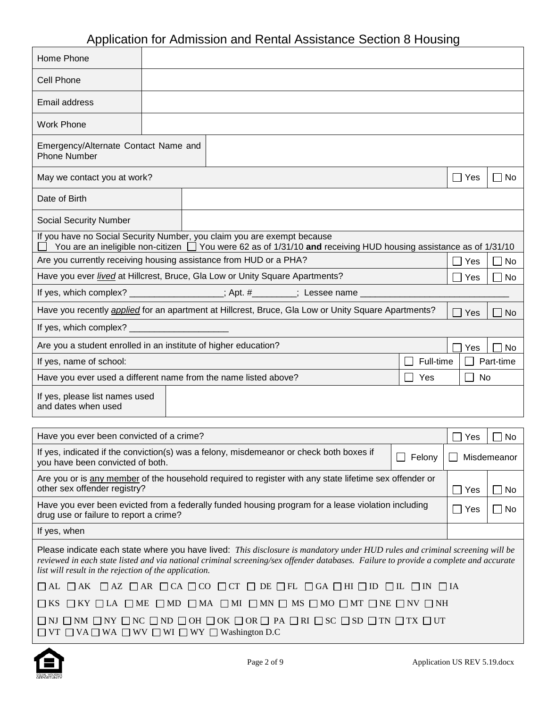| Home Phone                                                                                                                                                                                                                                                                                                                    |  |  |  |                                                                                                                  |  |           |                   |                        |
|-------------------------------------------------------------------------------------------------------------------------------------------------------------------------------------------------------------------------------------------------------------------------------------------------------------------------------|--|--|--|------------------------------------------------------------------------------------------------------------------|--|-----------|-------------------|------------------------|
| <b>Cell Phone</b>                                                                                                                                                                                                                                                                                                             |  |  |  |                                                                                                                  |  |           |                   |                        |
| Email address                                                                                                                                                                                                                                                                                                                 |  |  |  |                                                                                                                  |  |           |                   |                        |
| <b>Work Phone</b>                                                                                                                                                                                                                                                                                                             |  |  |  |                                                                                                                  |  |           |                   |                        |
| Emergency/Alternate Contact Name and<br><b>Phone Number</b>                                                                                                                                                                                                                                                                   |  |  |  |                                                                                                                  |  |           |                   |                        |
| May we contact you at work?                                                                                                                                                                                                                                                                                                   |  |  |  |                                                                                                                  |  |           | $\Box$ Yes        | $\Box$ No              |
| Date of Birth                                                                                                                                                                                                                                                                                                                 |  |  |  |                                                                                                                  |  |           |                   |                        |
| <b>Social Security Number</b>                                                                                                                                                                                                                                                                                                 |  |  |  |                                                                                                                  |  |           |                   |                        |
| If you have no Social Security Number, you claim you are exempt because                                                                                                                                                                                                                                                       |  |  |  | You are an ineligible non-citizen □ You were 62 as of 1/31/10 and receiving HUD housing assistance as of 1/31/10 |  |           |                   |                        |
| Are you currently receiving housing assistance from HUD or a PHA?                                                                                                                                                                                                                                                             |  |  |  |                                                                                                                  |  |           | Yes               | $\Box$ No              |
| Have you ever <i>lived</i> at Hillcrest, Bruce, Gla Low or Unity Square Apartments?                                                                                                                                                                                                                                           |  |  |  |                                                                                                                  |  |           | Yes               | No                     |
| If yes, which complex? ________________; Apt. #_______; Lessee name __________                                                                                                                                                                                                                                                |  |  |  |                                                                                                                  |  |           |                   |                        |
| Have you recently <i>applied</i> for an apartment at Hillcrest, Bruce, Gla Low or Unity Square Apartments?                                                                                                                                                                                                                    |  |  |  |                                                                                                                  |  |           | Yes               | No                     |
| If yes, which complex? ________                                                                                                                                                                                                                                                                                               |  |  |  |                                                                                                                  |  |           |                   |                        |
| Are you a student enrolled in an institute of higher education?                                                                                                                                                                                                                                                               |  |  |  |                                                                                                                  |  |           | Yes               | No                     |
| If yes, name of school:                                                                                                                                                                                                                                                                                                       |  |  |  |                                                                                                                  |  | Full-time |                   | Part-time              |
| Have you ever used a different name from the name listed above?                                                                                                                                                                                                                                                               |  |  |  |                                                                                                                  |  | Yes       | No                |                        |
| If yes, please list names used<br>and dates when used                                                                                                                                                                                                                                                                         |  |  |  |                                                                                                                  |  |           |                   |                        |
| Have you ever been convicted of a crime?                                                                                                                                                                                                                                                                                      |  |  |  |                                                                                                                  |  |           | Yes               | No                     |
| If yes, indicated if the conviction(s) was a felony, misdemeanor or check both boxes if<br>you have been convicted of both.                                                                                                                                                                                                   |  |  |  |                                                                                                                  |  | Felony    |                   | Misdemeanor            |
| Are you or is any member of the household required to register with any state lifetime sex offender or<br>other sex offender registry?                                                                                                                                                                                        |  |  |  |                                                                                                                  |  |           |                   |                        |
| Have you ever been evicted from a federally funded housing program for a lease violation including                                                                                                                                                                                                                            |  |  |  |                                                                                                                  |  |           | Yes<br>$\Box$ Yes | $\Box$ No<br>$\Box$ No |
| drug use or failure to report a crime?                                                                                                                                                                                                                                                                                        |  |  |  |                                                                                                                  |  |           |                   |                        |
| If yes, when                                                                                                                                                                                                                                                                                                                  |  |  |  |                                                                                                                  |  |           |                   |                        |
| Please indicate each state where you have lived: This disclosure is mandatory under HUD rules and criminal screening will be<br>reviewed in each state listed and via national criminal screening/sex offender databases. Failure to provide a complete and accurate<br>list will result in the rejection of the application. |  |  |  |                                                                                                                  |  |           |                   |                        |
| $\Box$ AL $\Box$ AK $\Box$ AZ $\Box$ AR $\Box$ CA $\Box$ CO $\Box$ CT $\Box$ DE $\Box$ FL $\Box$ GA $\Box$ HI $\Box$ ID $\Box$ IL $\Box$ IN $\Box$ IA                                                                                                                                                                         |  |  |  |                                                                                                                  |  |           |                   |                        |
| $\square$ KS $\square$ KY $\square$ LA $\square$ ME $\square$ MD $\square$ MA $\square$ MI $\square$ MN $\square$ MS $\square$ MO $\square$ MT $\square$ NE $\square$ NV $\square$ NH                                                                                                                                         |  |  |  |                                                                                                                  |  |           |                   |                        |
| $\square$ ni $\square$ nm $\square$ ny $\square$ nc $\square$ nd $\square$ oh $\square$ ok $\square$ or $\square$ pa $\square$ ri $\square$ sc $\square$ sd $\square$ tn $\square$ tx $\square$ ut<br>$\Box$ VT $\Box$ VA $\Box$ WA $\Box$ WV $\Box$ WI $\Box$ WY $\Box$ Washington D.C                                       |  |  |  |                                                                                                                  |  |           |                   |                        |



 $\Gamma$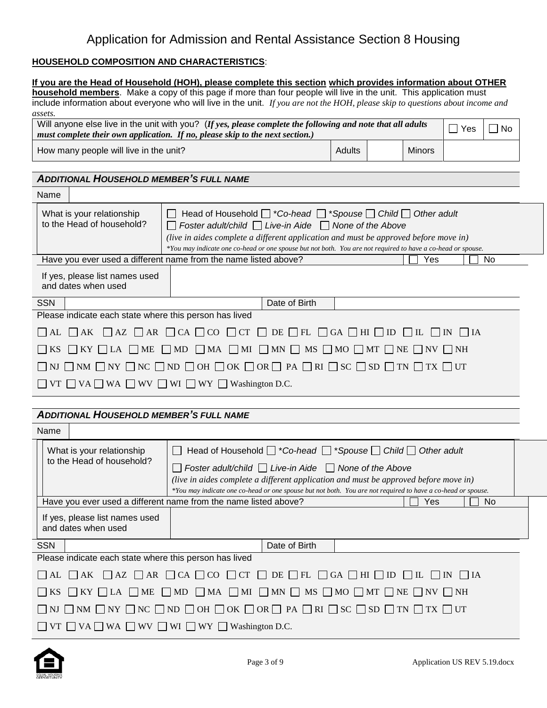#### **HOUSEHOLD COMPOSITION AND CHARACTERISTICS**:

|                                                                                                                                                                                                                                                                                                     | If you are the Head of Household (HOH), please complete this section which provides information about OTHER<br>household members. Make a copy of this page if more than four people will live in the unit. This application must                                                                                                                           |  |     |                    |             |  |  |  |
|-----------------------------------------------------------------------------------------------------------------------------------------------------------------------------------------------------------------------------------------------------------------------------------------------------|------------------------------------------------------------------------------------------------------------------------------------------------------------------------------------------------------------------------------------------------------------------------------------------------------------------------------------------------------------|--|-----|--------------------|-------------|--|--|--|
|                                                                                                                                                                                                                                                                                                     | include information about everyone who will live in the unit. If you are not the HOH, please skip to questions about income and                                                                                                                                                                                                                            |  |     |                    |             |  |  |  |
| assets.                                                                                                                                                                                                                                                                                             | Will anyone else live in the unit with you? (If yes, please complete the following and note that all adults<br>must complete their own application. If no, please skip to the next section.)                                                                                                                                                               |  |     | $\Box$ Yes         | $\sqcap$ No |  |  |  |
|                                                                                                                                                                                                                                                                                                     | Adults<br><b>Minors</b><br>How many people will live in the unit?                                                                                                                                                                                                                                                                                          |  |     |                    |             |  |  |  |
|                                                                                                                                                                                                                                                                                                     |                                                                                                                                                                                                                                                                                                                                                            |  |     |                    |             |  |  |  |
| <b>ADDITIONAL HOUSEHOLD MEMBER'S FULL NAME</b>                                                                                                                                                                                                                                                      |                                                                                                                                                                                                                                                                                                                                                            |  |     |                    |             |  |  |  |
| Name                                                                                                                                                                                                                                                                                                |                                                                                                                                                                                                                                                                                                                                                            |  |     |                    |             |  |  |  |
| What is your relationship<br>to the Head of household?                                                                                                                                                                                                                                              | Head of Household $\Box$ *Co-head $\Box$ *Spouse $\Box$ Child $\Box$ Other adult<br>Foster adult/child $\Box$ Live-in Aide $\Box$ None of the Above<br>(live in aides complete a different application and must be approved before move in)<br>*You may indicate one co-head or one spouse but not both. You are not required to have a co-head or spouse. |  |     |                    |             |  |  |  |
|                                                                                                                                                                                                                                                                                                     | Have you ever used a different name from the name listed above?                                                                                                                                                                                                                                                                                            |  | Yes |                    | No          |  |  |  |
| If yes, please list names used<br>and dates when used                                                                                                                                                                                                                                               |                                                                                                                                                                                                                                                                                                                                                            |  |     |                    |             |  |  |  |
| <b>SSN</b>                                                                                                                                                                                                                                                                                          | Date of Birth                                                                                                                                                                                                                                                                                                                                              |  |     |                    |             |  |  |  |
| Please indicate each state where this person has lived                                                                                                                                                                                                                                              |                                                                                                                                                                                                                                                                                                                                                            |  |     |                    |             |  |  |  |
| $\overline{\phantom{a}}$ AL                                                                                                                                                                                                                                                                         | $\Box$ AK $\Box$ AZ $\Box$ AR $\Box$ CA $\Box$ CO $\Box$ CT $\Box$ DE $\Box$ FL $\Box$ GA $\Box$ HI $\Box$ ID $\Box$ IL $\Box$ IN $\Box$ IA                                                                                                                                                                                                                |  |     |                    |             |  |  |  |
| <b>KS</b>                                                                                                                                                                                                                                                                                           | $\Box$ KY $\Box$ LA $\Box$ ME $\Box$ MD $\Box$ MA $\Box$ MI $\Box$ MN $\Box$ MS $\Box$ MO $\Box$ MT $\Box$ NE $\Box$ NV $\Box$ NH                                                                                                                                                                                                                          |  |     |                    |             |  |  |  |
|                                                                                                                                                                                                                                                                                                     | NJ $\Box$ NM $\Box$ NY $\Box$ NC $\Box$ ND $\Box$ OH $\Box$ OK $\Box$ OR $\Box$ PA $\Box$ RI $\Box$ SC $\Box$ SD $\Box$ TN $\Box$ TX $\Box$ UT                                                                                                                                                                                                             |  |     |                    |             |  |  |  |
|                                                                                                                                                                                                                                                                                                     | VT $\Box$ VA $\Box$ WA $\Box$ WV $\Box$ WI $\Box$ WY $\Box$ Washington D.C.                                                                                                                                                                                                                                                                                |  |     |                    |             |  |  |  |
|                                                                                                                                                                                                                                                                                                     |                                                                                                                                                                                                                                                                                                                                                            |  |     |                    |             |  |  |  |
| <b>ADDITIONAL HOUSEHOLD MEMBER'S FULL NAME</b>                                                                                                                                                                                                                                                      |                                                                                                                                                                                                                                                                                                                                                            |  |     |                    |             |  |  |  |
| Name                                                                                                                                                                                                                                                                                                |                                                                                                                                                                                                                                                                                                                                                            |  |     |                    |             |  |  |  |
| What is your relationship                                                                                                                                                                                                                                                                           | Head of Household $\Box$ *Co-head $\Box$ *Spouse $\Box$ Child $\Box$ Other adult<br>$\Box$                                                                                                                                                                                                                                                                 |  |     |                    |             |  |  |  |
| to the Head of household?<br>Foster adult/child $\Box$ Live-in Aide $\Box$ None of the Above<br>(live in aides complete a different application and must be approved before move in)<br>*You may indicate one co-head or one spouse but not both. You are not required to have a co-head or spouse. |                                                                                                                                                                                                                                                                                                                                                            |  |     |                    |             |  |  |  |
|                                                                                                                                                                                                                                                                                                     | Have you ever used a different name from the name listed above?                                                                                                                                                                                                                                                                                            |  | Yes |                    | No          |  |  |  |
| If yes, please list names used<br>and dates when used                                                                                                                                                                                                                                               |                                                                                                                                                                                                                                                                                                                                                            |  |     |                    |             |  |  |  |
| <b>SSN</b>                                                                                                                                                                                                                                                                                          | Date of Birth                                                                                                                                                                                                                                                                                                                                              |  |     |                    |             |  |  |  |
| Please indicate each state where this person has lived                                                                                                                                                                                                                                              |                                                                                                                                                                                                                                                                                                                                                            |  |     |                    |             |  |  |  |
| $\Box$ AK<br>$\mathsf{AL}$                                                                                                                                                                                                                                                                          | $\Box$ AZ $\Box$ AR $\Box$ CA $\Box$ CO $\Box$ CT $\Box$ DE $\Box$ FL $\Box$ GA $\Box$ HI $\Box$ ID $\Box$ IL $\Box$ IN                                                                                                                                                                                                                                    |  |     | $\vert$ $\vert$ IA |             |  |  |  |
|                                                                                                                                                                                                                                                                                                     | $\Box$ KY $\Box$ LA $\Box$ ME $\Box$ MD $\Box$ MA $\Box$ MI $\Box$ MN $\Box$ MS $\Box$ MO $\Box$ MT $\Box$ NE $\Box$ NV $\Box$ NH                                                                                                                                                                                                                          |  |     |                    |             |  |  |  |
|                                                                                                                                                                                                                                                                                                     | $\Box$ NM $\Box$ NY $\Box$ NC $\Box$ ND $\Box$ OH $\Box$ OK $\Box$ OR $\Box$ PA $\Box$ RI $\Box$ SC $\Box$ SD $\Box$ TN $\Box$ TX $\Box$ UT                                                                                                                                                                                                                |  |     |                    |             |  |  |  |
| $\Box$ VT $\Box$ VA $\Box$ WA $\Box$ WV $\Box$ WI $\Box$ WY $\Box$ Washington D.C.                                                                                                                                                                                                                  |                                                                                                                                                                                                                                                                                                                                                            |  |     |                    |             |  |  |  |

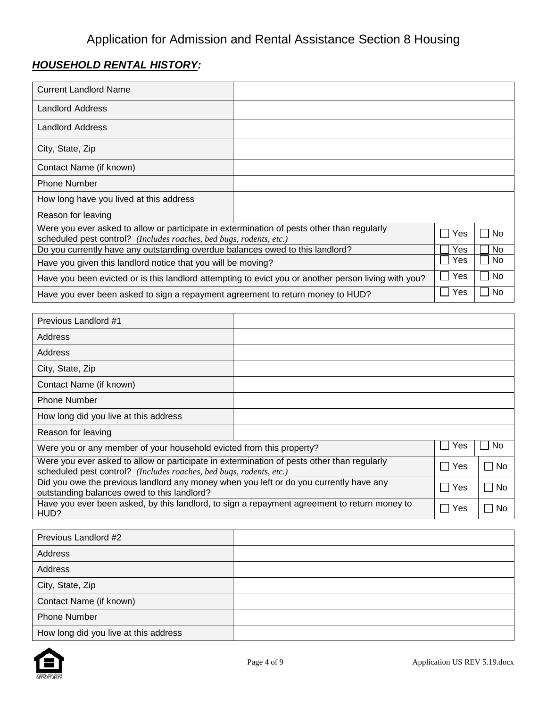# *HOUSEHOLD RENTAL HISTORY:*

| <b>Current Landlord Name</b>                                                                                                                                      |  |     |           |
|-------------------------------------------------------------------------------------------------------------------------------------------------------------------|--|-----|-----------|
| <b>Landlord Address</b>                                                                                                                                           |  |     |           |
| <b>Landlord Address</b>                                                                                                                                           |  |     |           |
| City, State, Zip                                                                                                                                                  |  |     |           |
| Contact Name (if known)                                                                                                                                           |  |     |           |
| <b>Phone Number</b>                                                                                                                                               |  |     |           |
| How long have you lived at this address                                                                                                                           |  |     |           |
| Reason for leaving                                                                                                                                                |  |     |           |
| Were you ever asked to allow or participate in extermination of pests other than regularly<br>scheduled pest control? (Includes roaches, bed bugs, rodents, etc.) |  | Yes | No        |
| Do you currently have any outstanding overdue balances owed to this landlord?                                                                                     |  | Yes | <b>No</b> |
| Have you given this landlord notice that you will be moving?                                                                                                      |  |     | No.       |
| Have you been evicted or is this landlord attempting to evict you or another person living with you?                                                              |  |     | No        |
| Have you ever been asked to sign a repayment agreement to return money to HUD?                                                                                    |  | Yes | No        |

| Previous Landlord #1                                                                                                                                              |               |              |
|-------------------------------------------------------------------------------------------------------------------------------------------------------------------|---------------|--------------|
| Address                                                                                                                                                           |               |              |
| Address                                                                                                                                                           |               |              |
| City, State, Zip                                                                                                                                                  |               |              |
| Contact Name (if known)                                                                                                                                           |               |              |
| <b>Phone Number</b>                                                                                                                                               |               |              |
| How long did you live at this address                                                                                                                             |               |              |
| Reason for leaving                                                                                                                                                |               |              |
| Were you or any member of your household evicted from this property?                                                                                              | Yes           | No.          |
| Were you ever asked to allow or participate in extermination of pests other than regularly<br>scheduled pest control? (Includes roaches, bed bugs, rodents, etc.) | Yes<br>$\sim$ | No<br>$\Box$ |
| Did you owe the previous landlord any money when you left or do you currently have any<br>outstanding balances owed to this landlord?                             | Yes           | <b>No</b>    |
| Have you ever been asked, by this landlord, to sign a repayment agreement to return money to<br>HUD?                                                              | Yes           | No           |

| Previous Landlord #2                  |  |
|---------------------------------------|--|
| Address                               |  |
| Address                               |  |
| City, State, Zip                      |  |
| Contact Name (if known)               |  |
| <b>Phone Number</b>                   |  |
| How long did you live at this address |  |

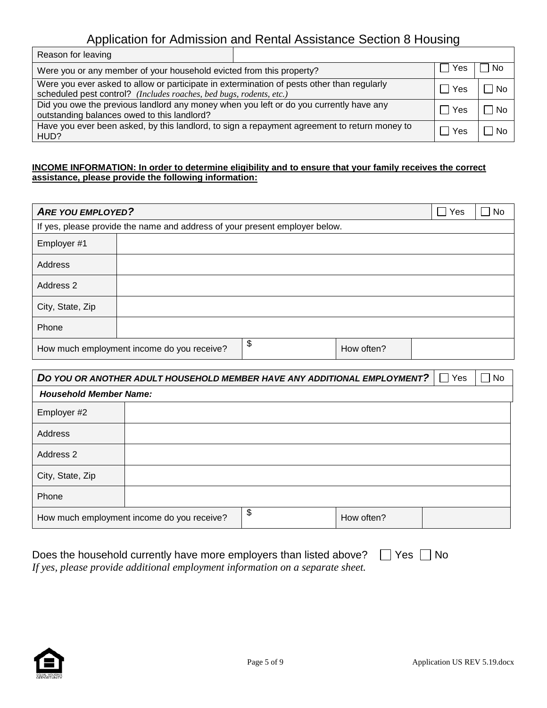| Reason for leaving                                                                                                                                                |     |     |      |
|-------------------------------------------------------------------------------------------------------------------------------------------------------------------|-----|-----|------|
| Were you or any member of your household evicted from this property?                                                                                              | Yes | No  |      |
| Were you ever asked to allow or participate in extermination of pests other than regularly<br>scheduled pest control? (Includes roaches, bed bugs, rodents, etc.) |     | Yes | ∣ No |
| Did you owe the previous landlord any money when you left or do you currently have any<br>outstanding balances owed to this landlord?                             |     | Yes | No   |
| Have you ever been asked, by this landlord, to sign a repayment agreement to return money to<br>HUD?                                                              |     | Yes | No.  |

#### **INCOME INFORMATION: In order to determine eligibility and to ensure that your family receives the correct assistance, please provide the following information:**

| <b>ARE YOU EMPLOYED?</b> |                                                                             |                  | $\overline{\phantom{a}}$<br>Yes | <b>No</b> |
|--------------------------|-----------------------------------------------------------------------------|------------------|---------------------------------|-----------|
|                          | If yes, please provide the name and address of your present employer below. |                  |                                 |           |
| Employer #1              |                                                                             |                  |                                 |           |
| Address                  |                                                                             |                  |                                 |           |
| Address 2                |                                                                             |                  |                                 |           |
| City, State, Zip         |                                                                             |                  |                                 |           |
| Phone                    |                                                                             |                  |                                 |           |
|                          | How much employment income do you receive?                                  | \$<br>How often? |                                 |           |

| DO YOU OR ANOTHER ADULT HOUSEHOLD MEMBER HAVE ANY ADDITIONAL EMPLOYMENT? | Yes<br>$\blacksquare$                      | $\Box$ No        |  |  |
|--------------------------------------------------------------------------|--------------------------------------------|------------------|--|--|
| <b>Household Member Name:</b>                                            |                                            |                  |  |  |
| Employer #2                                                              |                                            |                  |  |  |
| Address                                                                  |                                            |                  |  |  |
| Address 2                                                                |                                            |                  |  |  |
| City, State, Zip                                                         |                                            |                  |  |  |
| Phone                                                                    |                                            |                  |  |  |
|                                                                          | How much employment income do you receive? | \$<br>How often? |  |  |

| Does the household currently have more employers than listed above? $\Box$ Yes $\Box$ No |  |
|------------------------------------------------------------------------------------------|--|
| If yes, please provide additional employment information on a separate sheet.            |  |

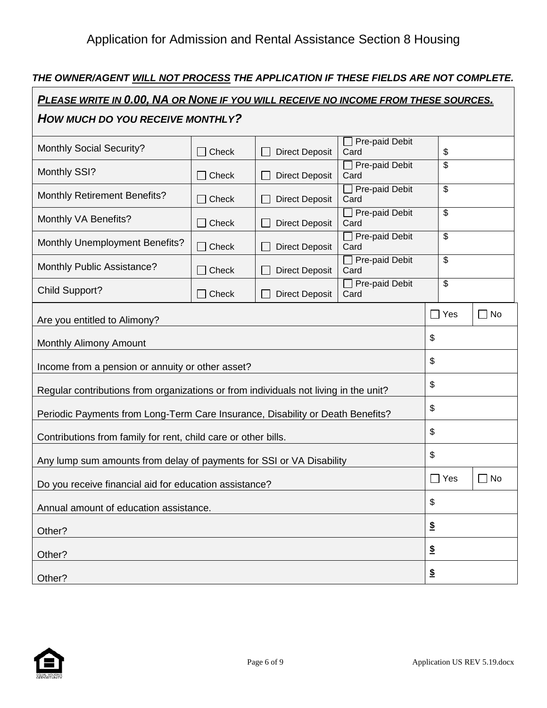# *THE OWNER/AGENT WILL NOT PROCESS THE APPLICATION IF THESE FIELDS ARE NOT COMPLETE.*

| PLEASE WRITE IN 0.00, NA OR NONE IF YOU WILL RECEIVE NO INCOME FROM THESE SOURCES.   |       |                       |                               |                          |              |
|--------------------------------------------------------------------------------------|-------|-----------------------|-------------------------------|--------------------------|--------------|
| HOW MUCH DO YOU RECEIVE MONTHLY?                                                     |       |                       |                               |                          |              |
| <b>Monthly Social Security?</b>                                                      | Check | <b>Direct Deposit</b> | Pre-paid Debit<br>Card        | \$                       |              |
| Monthly SSI?                                                                         | Check | <b>Direct Deposit</b> | Pre-paid Debit<br>Card        | \$                       |              |
| <b>Monthly Retirement Benefits?</b>                                                  | Check | <b>Direct Deposit</b> | Pre-paid Debit<br>Card        | \$                       |              |
| Monthly VA Benefits?                                                                 | Check | <b>Direct Deposit</b> | Pre-paid Debit<br>Card        | \$                       |              |
| <b>Monthly Unemployment Benefits?</b>                                                | Check | <b>Direct Deposit</b> | $\Box$ Pre-paid Debit<br>Card | \$                       |              |
| Monthly Public Assistance?                                                           | Check | <b>Direct Deposit</b> | Pre-paid Debit<br>Card        | \$                       |              |
| <b>Child Support?</b>                                                                | Check | <b>Direct Deposit</b> | Pre-paid Debit<br>Card        | $\overline{\mathcal{S}}$ |              |
| Are you entitled to Alimony?                                                         |       |                       |                               | $\Box$ Yes               | No<br>$\Box$ |
| <b>Monthly Alimony Amount</b>                                                        |       |                       |                               | \$                       |              |
| Income from a pension or annuity or other asset?                                     |       |                       | \$                            |                          |              |
| Regular contributions from organizations or from individuals not living in the unit? |       |                       |                               | \$                       |              |
| Periodic Payments from Long-Term Care Insurance, Disability or Death Benefits?       |       | \$                    |                               |                          |              |
| Contributions from family for rent, child care or other bills.                       |       |                       |                               | \$                       |              |
| Any lump sum amounts from delay of payments for SSI or VA Disability                 |       |                       |                               | \$                       |              |
| Do you receive financial aid for education assistance?                               |       |                       |                               | $\Box$ Yes               | No<br>r i    |
| Annual amount of education assistance.                                               |       |                       |                               | \$                       |              |
| Other?                                                                               |       |                       |                               | $\underline{\$}$         |              |
| Other?                                                                               |       |                       |                               | $\underline{\$}$         |              |
| Other?                                                                               |       |                       |                               | $\boldsymbol{\hat{z}}$   |              |



 $\mathbf{r}$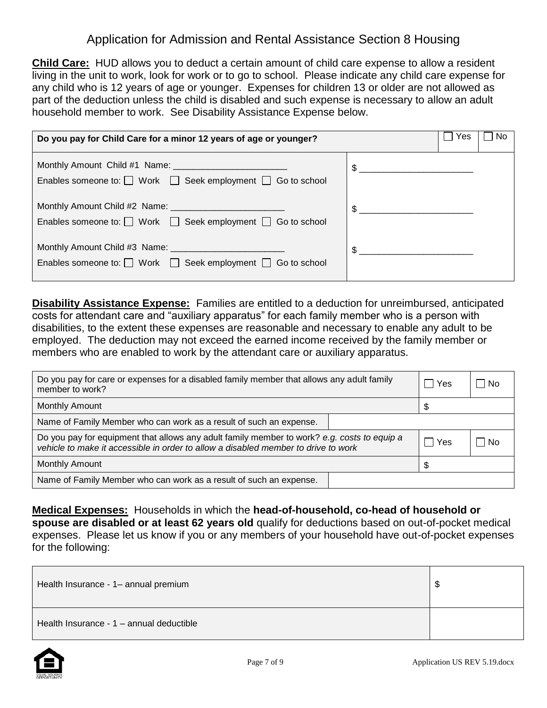**Child Care:** HUD allows you to deduct a certain amount of child care expense to allow a resident living in the unit to work, look for work or to go to school. Please indicate any child care expense for any child who is 12 years of age or younger. Expenses for children 13 or older are not allowed as part of the deduction unless the child is disabled and such expense is necessary to allow an adult household member to work. See Disability Assistance Expense below.

| Do you pay for Child Care for a minor 12 years of age or younger?          | ∣ Yes<br>No    |
|----------------------------------------------------------------------------|----------------|
| Enables someone to: $\Box$ Work $\Box$ Seek employment $\Box$ Go to school | $\mathfrak{S}$ |
| Enables someone to: $\Box$ Work $\Box$ Seek employment $\Box$ Go to school | $\mathfrak{S}$ |
| Enables someone to: $\Box$ Work $\Box$ Seek employment $\Box$ Go to school | \$             |

**Disability Assistance Expense:** Families are entitled to a deduction for unreimbursed, anticipated costs for attendant care and "auxiliary apparatus" for each family member who is a person with disabilities, to the extent these expenses are reasonable and necessary to enable any adult to be employed. The deduction may not exceed the earned income received by the family member or members who are enabled to work by the attendant care or auxiliary apparatus.

| Do you pay for care or expenses for a disabled family member that allows any adult family<br>member to work?                                                                      |  | l Yes | – I No |
|-----------------------------------------------------------------------------------------------------------------------------------------------------------------------------------|--|-------|--------|
| <b>Monthly Amount</b>                                                                                                                                                             |  |       |        |
| Name of Family Member who can work as a result of such an expense.                                                                                                                |  |       |        |
| Do you pay for equipment that allows any adult family member to work? e.g. costs to equip a<br>vehicle to make it accessible in order to allow a disabled member to drive to work |  | ∣ Yes | – I No |
| <b>Monthly Amount</b>                                                                                                                                                             |  |       |        |
| Name of Family Member who can work as a result of such an expense.                                                                                                                |  |       |        |

**Medical Expenses:** Households in which the **head-of-household, co-head of household or spouse are disabled or at least 62 years old** qualify for deductions based on out-of-pocket medical expenses. Please let us know if you or any members of your household have out-of-pocket expenses for the following:

| Health Insurance - 1- annual premium     |  |
|------------------------------------------|--|
| Health Insurance - 1 - annual deductible |  |

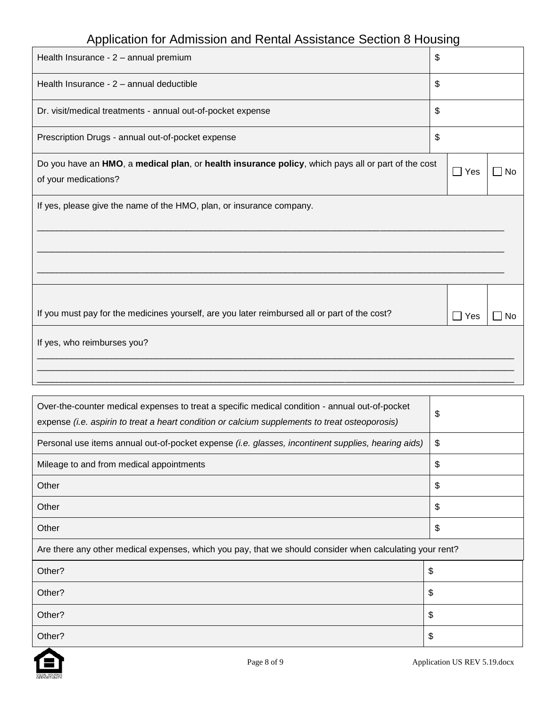| Health Insurance - 2 - annual premium                                                              | \$                    |           |
|----------------------------------------------------------------------------------------------------|-----------------------|-----------|
|                                                                                                    |                       |           |
| Health Insurance - 2 - annual deductible                                                           | \$                    |           |
| Dr. visit/medical treatments - annual out-of-pocket expense                                        | \$                    |           |
| Prescription Drugs - annual out-of-pocket expense                                                  | \$                    |           |
| Do you have an HMO, a medical plan, or health insurance policy, which pays all or part of the cost | $\Box$ Yes            | <b>No</b> |
| of your medications?                                                                               |                       |           |
| If yes, please give the name of the HMO, plan, or insurance company.                               |                       |           |
|                                                                                                    |                       |           |
|                                                                                                    |                       |           |
|                                                                                                    |                       |           |
|                                                                                                    |                       |           |
|                                                                                                    |                       |           |
| If you must pay for the medicines yourself, are you later reimbursed all or part of the cost?      | Yes<br>$\blacksquare$ | No        |
| If yes, who reimburses you?                                                                        |                       |           |
|                                                                                                    |                       |           |
|                                                                                                    |                       |           |

| Over-the-counter medical expenses to treat a specific medical condition - annual out-of-pocket<br>expense (i.e. aspirin to treat a heart condition or calcium supplements to treat osteoporosis) | \$ |
|--------------------------------------------------------------------------------------------------------------------------------------------------------------------------------------------------|----|
| Personal use items annual out-of-pocket expense (i.e. glasses, incontinent supplies, hearing aids)                                                                                               | \$ |
| Mileage to and from medical appointments                                                                                                                                                         | \$ |
| Other                                                                                                                                                                                            | \$ |
| Other                                                                                                                                                                                            | \$ |
| Other                                                                                                                                                                                            | \$ |
| Are there any other medical expenses, which you pay, that we should consider when calculating your rent?                                                                                         |    |
| Other?<br>\$                                                                                                                                                                                     |    |
| Other?<br>\$                                                                                                                                                                                     |    |
| \$<br>Other?                                                                                                                                                                                     |    |
| Other?                                                                                                                                                                                           | \$ |